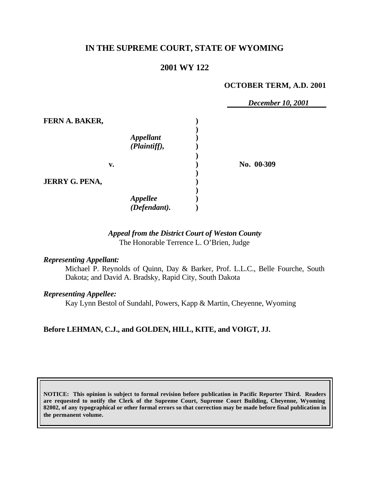# **IN THE SUPREME COURT, STATE OF WYOMING**

# **2001 WY 122**

#### **OCTOBER TERM, A.D. 2001**

 *December 10, 2001* **FERN A. BAKER, ) )** *Appellant* **)** *(Plaintiff),* **) ) v. ) No. 00-309 ) JERRY G. PENA, ) )** *Appellee* **)** *(Defendant).* **)**

## *Appeal from the District Court of Weston County* The Honorable Terrence L. O'Brien, Judge

#### *Representing Appellant:*

Michael P. Reynolds of Quinn, Day & Barker, Prof. L.L.C., Belle Fourche, South Dakota; and David A. Bradsky, Rapid City, South Dakota

#### *Representing Appellee:*

Kay Lynn Bestol of Sundahl, Powers, Kapp & Martin, Cheyenne, Wyoming

## **Before LEHMAN, C.J., and GOLDEN, HILL, KITE, and VOIGT, JJ.**

**NOTICE: This opinion is subject to formal revision before publication in Pacific Reporter Third. Readers are requested to notify the Clerk of the Supreme Court, Supreme Court Building, Cheyenne, Wyoming 82002, of any typographical or other formal errors so that correction may be made before final publication in the permanent volume.**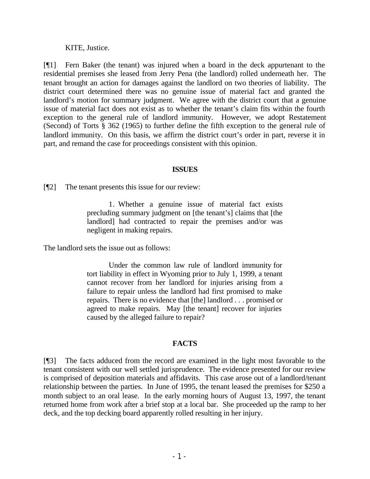KITE, Justice.

[¶1] Fern Baker (the tenant) was injured when a board in the deck appurtenant to the residential premises she leased from Jerry Pena (the landlord) rolled underneath her. The tenant brought an action for damages against the landlord on two theories of liability. The district court determined there was no genuine issue of material fact and granted the landlord's motion for summary judgment. We agree with the district court that a genuine issue of material fact does not exist as to whether the tenant's claim fits within the fourth exception to the general rule of landlord immunity. However, we adopt Restatement (Second) of Torts § 362 (1965) to further define the fifth exception to the general rule of landlord immunity. On this basis, we affirm the district court's order in part, reverse it in part, and remand the case for proceedings consistent with this opinion.

#### **ISSUES**

[¶2] The tenant presents this issue for our review:

1. Whether a genuine issue of material fact exists precluding summary judgment on [the tenant's] claims that [the landlord] had contracted to repair the premises and/or was negligent in making repairs.

The landlord sets the issue out as follows:

Under the common law rule of landlord immunity for tort liability in effect in Wyoming prior to July 1, 1999, a tenant cannot recover from her landlord for injuries arising from a failure to repair unless the landlord had first promised to make repairs. There is no evidence that [the] landlord . . . promised or agreed to make repairs. May [the tenant] recover for injuries caused by the alleged failure to repair?

## **FACTS**

[¶3] The facts adduced from the record are examined in the light most favorable to the tenant consistent with our well settled jurisprudence. The evidence presented for our review is comprised of deposition materials and affidavits. This case arose out of a landlord/tenant relationship between the parties. In June of 1995, the tenant leased the premises for \$250 a month subject to an oral lease. In the early morning hours of August 13, 1997, the tenant returned home from work after a brief stop at a local bar. She proceeded up the ramp to her deck, and the top decking board apparently rolled resulting in her injury.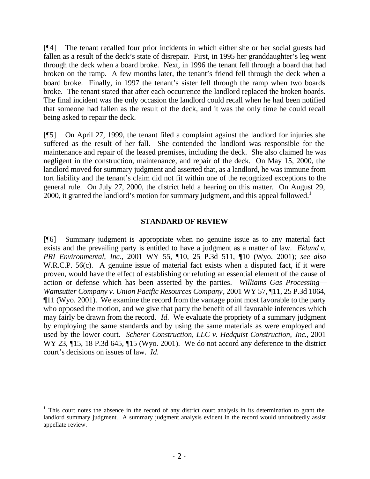[¶4] The tenant recalled four prior incidents in which either she or her social guests had fallen as a result of the deck's state of disrepair. First, in 1995 her granddaughter's leg went through the deck when a board broke. Next, in 1996 the tenant fell through a board that had broken on the ramp. A few months later, the tenant's friend fell through the deck when a board broke. Finally, in 1997 the tenant's sister fell through the ramp when two boards broke. The tenant stated that after each occurrence the landlord replaced the broken boards. The final incident was the only occasion the landlord could recall when he had been notified that someone had fallen as the result of the deck, and it was the only time he could recall being asked to repair the deck.

[¶5] On April 27, 1999, the tenant filed a complaint against the landlord for injuries she suffered as the result of her fall. She contended the landlord was responsible for the maintenance and repair of the leased premises, including the deck. She also claimed he was negligent in the construction, maintenance, and repair of the deck. On May 15, 2000, the landlord moved for summary judgment and asserted that, as a landlord, he was immune from tort liability and the tenant's claim did not fit within one of the recognized exceptions to the general rule. On July 27, 2000, the district held a hearing on this matter. On August 29, 2000, it granted the landlord's motion for summary judgment, and this appeal followed.<sup>1</sup>

#### **STANDARD OF REVIEW**

[¶6] Summary judgment is appropriate when no genuine issue as to any material fact exists and the prevailing party is entitled to have a judgment as a matter of law. *Eklund v. PRI Environmental, Inc.*, 2001 WY 55, ¶10, 25 P.3d 511, ¶10 (Wyo. 2001); *see also* W.R.C.P. 56(c). A genuine issue of material fact exists when a disputed fact, if it were proven, would have the effect of establishing or refuting an essential element of the cause of action or defense which has been asserted by the parties. *Williams Gas Processing— Wamsutter Company v. Union Pacific Resources Company*, 2001 WY 57, ¶11, 25 P.3d 1064, ¶11 (Wyo. 2001). We examine the record from the vantage point most favorable to the party who opposed the motion, and we give that party the benefit of all favorable inferences which may fairly be drawn from the record. *Id.* We evaluate the propriety of a summary judgment by employing the same standards and by using the same materials as were employed and used by the lower court. *Scherer Construction, LLC v. Hedquist Construction, Inc.*, 2001 WY 23, 15, 18 P.3d 645, 15 (Wyo. 2001). We do not accord any deference to the district court's decisions on issues of law. *Id.*

<sup>1</sup> This court notes the absence in the record of any district court analysis in its determination to grant the landlord summary judgment. A summary judgment analysis evident in the record would undoubtedly assist appellate review.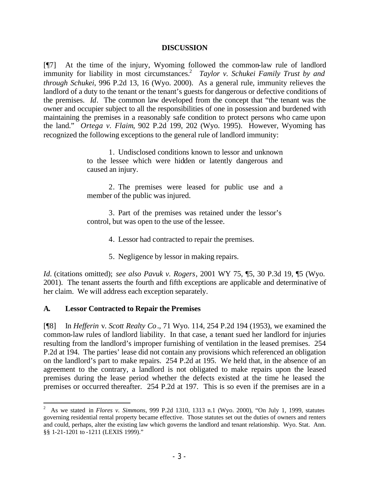#### **DISCUSSION**

[¶7] At the time of the injury, Wyoming followed the common-law rule of landlord immunity for liability in most circumstances.<sup>2</sup> *Taylor v. Schukei Family Trust by and through Schukei*, 996 P.2d 13, 16 (Wyo. 2000). As a general rule, immunity relieves the landlord of a duty to the tenant or the tenant's guests for dangerous or defective conditions of the premises. *Id*. The common law developed from the concept that "the tenant was the owner and occupier subject to all the responsibilities of one in possession and burdened with maintaining the premises in a reasonably safe condition to protect persons who came upon the land." *Ortega v. Flaim*, 902 P.2d 199, 202 (Wyo. 1995). However, Wyoming has recognized the following exceptions to the general rule of landlord immunity:

> 1. Undisclosed conditions known to lessor and unknown to the lessee which were hidden or latently dangerous and caused an injury.

> 2. The premises were leased for public use and a member of the public was injured.

> 3. Part of the premises was retained under the lessor's control, but was open to the use of the lessee.

- 4. Lessor had contracted to repair the premises.
- 5. Negligence by lessor in making repairs.

*Id.* (citations omitted); *see also Pavuk v. Rogers*, 2001 WY 75, ¶5, 30 P.3d 19, ¶5 (Wyo. 2001). The tenant asserts the fourth and fifth exceptions are applicable and determinative of her claim. We will address each exception separately.

## **A. Lessor Contracted to Repair the Premises**

[¶8] In *Hefferin* v. *Scott Realty Co*., 71 Wyo. 114, 254 P.2d 194 (1953), we examined the common-law rules of landlord liability. In that case, a tenant sued her landlord for injuries resulting from the landlord's improper furnishing of ventilation in the leased premises. 254 P.2d at 194. The parties' lease did not contain any provisions which referenced an obligation on the landlord's part to make repairs. 254 P.2d at 195. We held that, in the absence of an agreement to the contrary, a landlord is not obligated to make repairs upon the leased premises during the lease period whether the defects existed at the time he leased the premises or occurred thereafter. 254 P.2d at 197. This is so even if the premises are in a

<sup>2</sup> As we stated in *Flores v. Simmons*, 999 P.2d 1310, 1313 n.1 (Wyo. 2000), "On July 1, 1999, statutes governing residential rental property became effective. Those statutes set out the duties of owners and renters and could, perhaps, alter the existing law which governs the landlord and tenant relationship. Wyo. Stat. Ann. §§ 1-21-1201 to -1211 (LEXIS 1999)."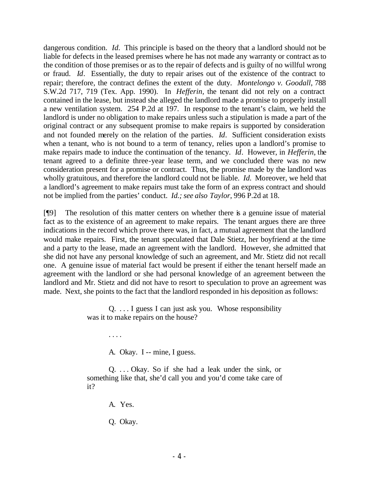dangerous condition. *Id.* This principle is based on the theory that a landlord should not be liable for defects in the leased premises where he has not made any warranty or contract as to the condition of those premises or as to the repair of defects and is guilty of no willful wrong or fraud. *Id*. Essentially, the duty to repair arises out of the existence of the contract to repair; therefore, the contract defines the extent of the duty. *Montelongo v. Goodall*, 788 S.W.2d 717, 719 (Tex. App. 1990). In *Hefferin,* the tenant did not rely on a contract contained in the lease, but instead she alleged the landlord made a promise to properly install a new ventilation system. 254 P.2d at 197. In response to the tenant's claim, we held the landlord is under no obligation to make repairs unless such a stipulation is made a part of the original contract or any subsequent promise to make repairs is supported by consideration and not founded merely on the relation of the parties. *Id*. Sufficient consideration exists when a tenant, who is not bound to a term of tenancy, relies upon a landlord's promise to make repairs made to induce the continuation of the tenancy. *Id*. However, in *Hefferin,* the tenant agreed to a definite three-year lease term, and we concluded there was no new consideration present for a promise or contract. Thus, the promise made by the landlord was wholly gratuitous, and therefore the landlord could not be liable. *Id.* Moreover, we held that a landlord's agreement to make repairs must take the form of an express contract and should not be implied from the parties' conduct. *Id.; see also Taylor*, 996 P.2d at 18.

[¶9] The resolution of this matter centers on whether there is a genuine issue of material fact as to the existence of an agreement to make repairs. The tenant argues there are three indications in the record which prove there was, in fact, a mutual agreement that the landlord would make repairs. First, the tenant speculated that Dale Stietz, her boyfriend at the time and a party to the lease, made an agreement with the landlord. However, she admitted that she did not have any personal knowledge of such an agreement, and Mr. Stietz did not recall one. A genuine issue of material fact would be present if either the tenant herself made an agreement with the landlord or she had personal knowledge of an agreement between the landlord and Mr. Stietz and did not have to resort to speculation to prove an agreement was made. Next, she points to the fact that the landlord responded in his deposition as follows:

> Q. . . . I guess I can just ask you. Whose responsibility was it to make repairs on the house?

> > A. Okay. I -- mine, I guess.

Q. . . . Okay. So if she had a leak under the sink, or something like that, she'd call you and you'd come take care of it?

A. Yes.

. . . .

Q. Okay.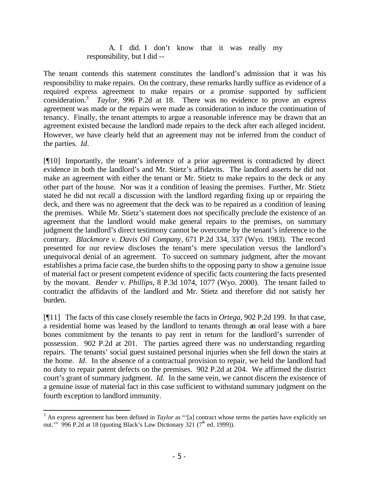## A. I did. I don't know that it was really my responsibility, but I did --

The tenant contends this statement constitutes the landlord's admission that it was his responsibility to make repairs. On the contrary, these remarks hardly suffice as evidence of a required express agreement to make repairs or a promise supported by sufficient consideration.<sup>3</sup> *Taylor*, 996 P.2d at 18. There was no evidence to prove an express agreement was made or the repairs were made as consideration to induce the continuation of tenancy. Finally, the tenant attempts to argue a reasonable inference may be drawn that an agreement existed because the landlord made repairs to the deck after each alleged incident. However, we have clearly held that an agreement may not be inferred from the conduct of the parties. *Id.*

[¶10] Importantly, the tenant's inference of a prior agreement is contradicted by direct evidence in both the landlord's and Mr. Stietz's affidavits. The landlord asserts he did not make an agreement with either the tenant or Mr. Stietz to make repairs to the deck or any other part of the house. Nor was it a condition of leasing the premises. Further, Mr. Stietz stated he did not recall a discussion with the landlord regarding fixing up or repairing the deck, and there was no agreement that the deck was to be repaired as a condition of leasing the premises. While Mr. Stietz's statement does not specifically preclude the existence of an agreement that the landlord would make general repairs to the premises, on summary judgment the landlord's direct testimony cannot be overcome by the tenant's inference to the contrary. *Blackmore v. Davis Oil Company*, 671 P.2d 334, 337 (Wyo. 1983). The record presented for our review discloses the tenant's mere speculation versus the landlord's unequivocal denial of an agreement. To succeed on summary judgment, after the movant establishes a prima facie case, the burden shifts to the opposing party to show a genuine issue of material fact or present competent evidence of specific facts countering the facts presented by the movant. *Bender v. Phillips*, 8 P.3d 1074, 1077 (Wyo. 2000). The tenant failed to contradict the affidavits of the landlord and Mr. Stietz and therefore did not satisfy her burden.

[¶11] The facts of this case closely resemble the facts in *Ortega,* 902 P.2d 199. In that case, a residential home was leased by the landlord to tenants through an oral lease with a bare bones commitment by the tenants to pay rent in return for the landlord's surrender of possession. 902 P.2d at 201. The parties agreed there was no understanding regarding repairs. The tenants' social guest sustained personal injuries when she fell down the stairs at the home. *Id*. In the absence of a contractual provision to repair, we held the landlord had no duty to repair patent defects on the premises. 902 P.2d at 204. We affirmed the district court's grant of summary judgment. *Id.* In the same vein, we cannot discern the existence of a genuine issue of material fact in this case sufficient to withstand summary judgment on the fourth exception to landlord immunity.

<sup>&</sup>lt;sup>3</sup> An express agreement has been defined in *Taylor* as "'[a] contract whose terms the parties have explicitly set out." 996 P.2d at 18 (quoting Black's Law Dictionary 321  $(7^{\text{th}}$  ed. 1999)).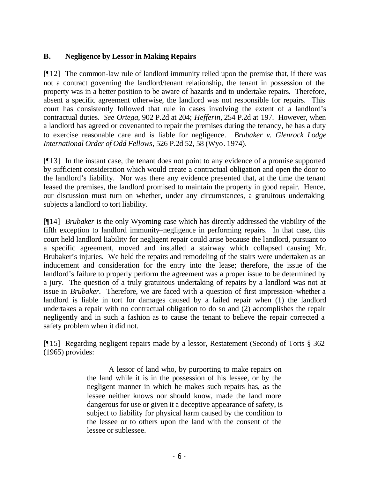# **B. Negligence by Lessor in Making Repairs**

[¶12] The common-law rule of landlord immunity relied upon the premise that, if there was not a contract governing the landlord/tenant relationship, the tenant in possession of the property was in a better position to be aware of hazards and to undertake repairs. Therefore, absent a specific agreement otherwise, the landlord was not responsible for repairs. This court has consistently followed that rule in cases involving the extent of a landlord's contractual duties. *See Ortega*, 902 P.2d at 204; *Hefferin,* 254 P.2d at 197. However, when a landlord has agreed or covenanted to repair the premises during the tenancy, he has a duty to exercise reasonable care and is liable for negligence. *Brubaker v. Glenrock Lodge International Order of Odd Fellows*, 526 P.2d 52, 58 (Wyo. 1974).

[¶13] In the instant case, the tenant does not point to any evidence of a promise supported by sufficient consideration which would create a contractual obligation and open the door to the landlord's liability. Nor was there any evidence presented that, at the time the tenant leased the premises, the landlord promised to maintain the property in good repair. Hence, our discussion must turn on whether, under any circumstances, a gratuitous undertaking subjects a landlord to tort liability.

[¶14] *Brubaker* is the only Wyoming case which has directly addressed the viability of the fifth exception to landlord immunity–negligence in performing repairs. In that case, this court held landlord liability for negligent repair could arise because the landlord, pursuant to a specific agreement, moved and installed a stairway which collapsed causing Mr. Brubaker's injuries. We held the repairs and remodeling of the stairs were undertaken as an inducement and consideration for the entry into the lease; therefore, the issue of the landlord's failure to properly perform the agreement was a proper issue to be determined by a jury. The question of a truly gratuitous undertaking of repairs by a landlord was not at issue in *Brubaker.* Therefore, we are faced with a question of first impression–whether a landlord is liable in tort for damages caused by a failed repair when (1) the landlord undertakes a repair with no contractual obligation to do so and (2) accomplishes the repair negligently and in such a fashion as to cause the tenant to believe the repair corrected a safety problem when it did not.

[¶15] Regarding negligent repairs made by a lessor, Restatement (Second) of Torts § 362 (1965) provides:

> A lessor of land who, by purporting to make repairs on the land while it is in the possession of his lessee, or by the negligent manner in which he makes such repairs has, as the lessee neither knows nor should know, made the land more dangerous for use or given it a deceptive appearance of safety, is subject to liability for physical harm caused by the condition to the lessee or to others upon the land with the consent of the lessee or sublessee.